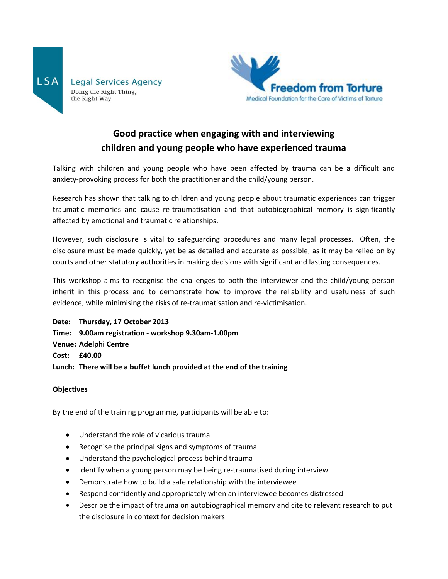



# **Good practice when engaging with and interviewing children and young people who have experienced trauma**

Talking with children and young people who have been affected by trauma can be a difficult and anxiety-provoking process for both the practitioner and the child/young person.

Research has shown that talking to children and young people about traumatic experiences can trigger traumatic memories and cause re-traumatisation and that autobiographical memory is significantly affected by emotional and traumatic relationships.

However, such disclosure is vital to safeguarding procedures and many legal processes. Often, the disclosure must be made quickly, yet be as detailed and accurate as possible, as it may be relied on by courts and other statutory authorities in making decisions with significant and lasting consequences.

This workshop aims to recognise the challenges to both the interviewer and the child/young person inherit in this process and to demonstrate how to improve the reliability and usefulness of such evidence, while minimising the risks of re-traumatisation and re-victimisation.

**Date: Thursday, 17 October 2013**

- **Time: 9.00am registration - workshop 9.30am-1.00pm**
- **Venue: Adelphi Centre**
- **Cost: £40.00**
- **Lunch: There will be a buffet lunch provided at the end of the training**

#### **Objectives**

By the end of the training programme, participants will be able to:

- Understand the role of vicarious trauma
- Recognise the principal signs and symptoms of trauma
- Understand the psychological process behind trauma
- Identify when a young person may be being re-traumatised during interview
- Demonstrate how to build a safe relationship with the interviewee
- Respond confidently and appropriately when an interviewee becomes distressed
- Describe the impact of trauma on autobiographical memory and cite to relevant research to put the disclosure in context for decision makers